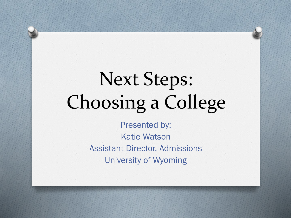# Next Steps: Choosing a College

Presented by: Katie Watson Assistant Director, Admissions University of Wyoming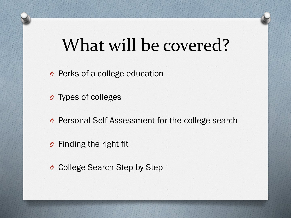### What will be covered?

- *O* Perks of a college education
- *O* Types of colleges
- *O* Personal Self Assessment for the college search
- *O* Finding the right fit
- *O* College Search Step by Step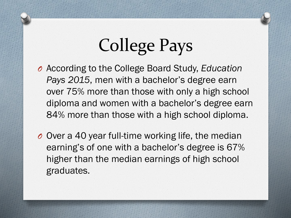## College Pays

- *O* According to the College Board Study, *Education Pays 2015*, men with a bachelor's degree earn over 75% more than those with only a high school diploma and women with a bachelor's degree earn 84% more than those with a high school diploma.
- *O* Over a 40 year full-time working life, the median earning's of one with a bachelor's degree is 67% higher than the median earnings of high school graduates.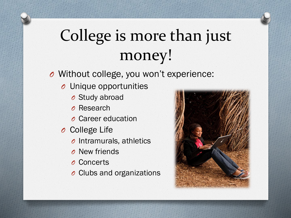#### College is more than just money!

- *O* Without college, you won't experience:
	- *O* Unique opportunities
		- *O* Study abroad
		- *O* Research
		- *O* Career education
	- *O* College Life
		- *O* Intramurals, athletics
		- *O* New friends
		- *O* Concerts
		- *O* Clubs and organizations

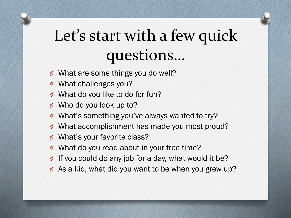#### Let's start with a few quick questions…

- *O* What are some things you do well?
- *O* What challenges you?
- *O* What do you like to do for fun?
- *O* Who do you look up to?
- *O* What's something you've always wanted to try?
- *O* What accomplishment has made you most proud?
- *O* What's your favorite class?
- *O* What do you read about in your free time?
- *O* If you could do any job for a day, what would it be?
- *O* As a kid, what did you want to be when you grew up?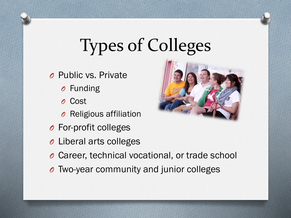## Types of Colleges

*O* Public vs. Private

- *O* Funding
- *O* Cost
- *O* Religious affiliation
- *O* For-profit colleges
- *O* Liberal arts colleges
- *O* Career, technical vocational, or trade school
- *O* Two-year community and junior colleges

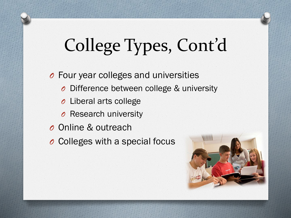# College Types, Cont'd

*O* Four year colleges and universities *O* Difference between college & university *O* Liberal arts college *O* Research university *O* Online & outreach *O* Colleges with a special focus

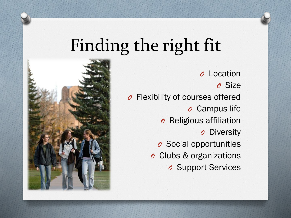### Finding the right fit



*O* Location *O* Size *O* Flexibility of courses offered *O* Campus life *O* Religious affiliation *O* Diversity *O* Social opportunities *O* Clubs & organizations *O* Support Services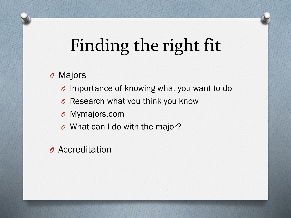## Finding the right fit

#### *O* Majors

- *O* Importance of knowing what you want to do
- *O* Research what you think you know
- *O* Mymajors.com
- *O* What can I do with the major?
- *O* Accreditation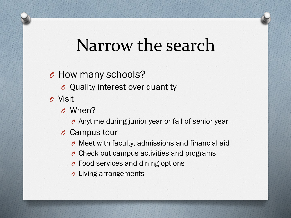#### Narrow the search

#### *O* How many schools?

- *O* Quality interest over quantity
- *O* Visit
	- *O* When?
		- *O* Anytime during junior year or fall of senior year
	- *O* Campus tour
		- *O* Meet with faculty, admissions and financial aid
		- *O* Check out campus activities and programs
		- *O* Food services and dining options
		- *O* Living arrangements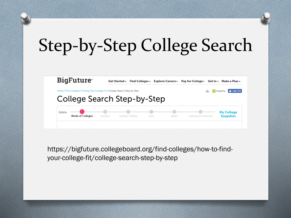## Step-by-Step College Search



https://bigfuture.collegeboard.org/find-colleges/how-to-findyour-college-fit/college-search-step-by-step